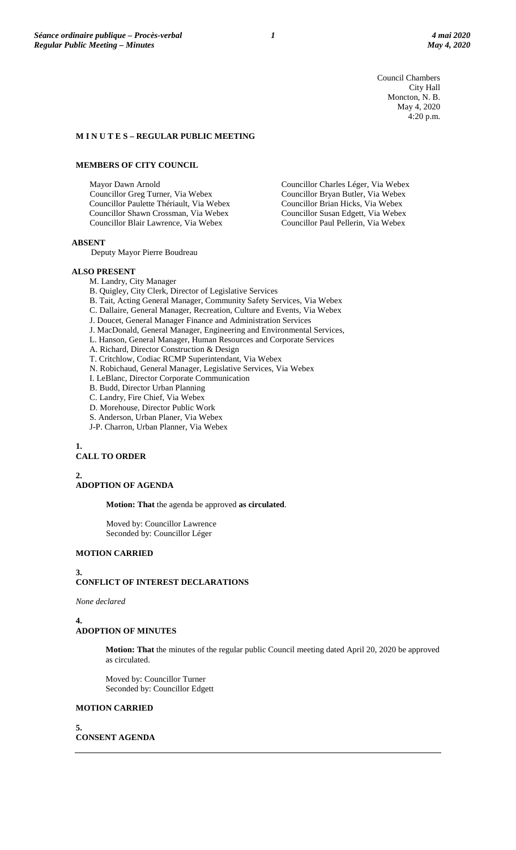Council Chambers City Hall Moncton, N. B. May 4, 2020 4:20 p.m.

Councillor Charles Léger, Via Webex Councillor Bryan Butler, Via Webex Councillor Brian Hicks, Via Webex Councillor Susan Edgett, Via Webex Councillor Paul Pellerin, Via Webex

## **M I N U T E S – REGULAR PUBLIC MEETING**

## **MEMBERS OF CITY COUNCIL**

Mayor Dawn Arnold Councillor Greg Turner, Via Webex Councillor Paulette Thériault, Via Webex Councillor Shawn Crossman, Via Webex Councillor Blair Lawrence, Via Webex

**ABSENT**

Deputy Mayor Pierre Boudreau

### **ALSO PRESENT**

M. Landry, City Manager

B. Quigley, City Clerk, Director of Legislative Services

- B. Tait, Acting General Manager, Community Safety Services, Via Webex
- C. Dallaire, General Manager, Recreation, Culture and Events, Via Webex

J. Doucet, General Manager Finance and Administration Services

- J. MacDonald, General Manager, Engineering and Environmental Services,
- L. Hanson, General Manager, Human Resources and Corporate Services
- A. Richard, Director Construction & Design
- T. Critchlow, Codiac RCMP Superintendant, Via Webex
- N. Robichaud, General Manager, Legislative Services, Via Webex
- I. LeBlanc, Director Corporate Communication
- B. Budd, Director Urban Planning
- C. Landry, Fire Chief, Via Webex
- D. Morehouse, Director Public Work
- S. Anderson, Urban Planer, Via Webex
- J-P. Charron, Urban Planner, Via Webex

## **1. CALL TO ORDER**

**2.**

## **ADOPTION OF AGENDA**

**Motion: That** the agenda be approved **as circulated**.

Moved by: Councillor Lawrence Seconded by: Councillor Léger

## **MOTION CARRIED**

#### **3.**

# **CONFLICT OF INTEREST DECLARATIONS**

*None declared*

#### **4.**

#### **ADOPTION OF MINUTES**

**Motion: That** the minutes of the regular public Council meeting dated April 20, 2020 be approved as circulated.

Moved by: Councillor Turner Seconded by: Councillor Edgett

## **MOTION CARRIED**

**5. CONSENT AGENDA**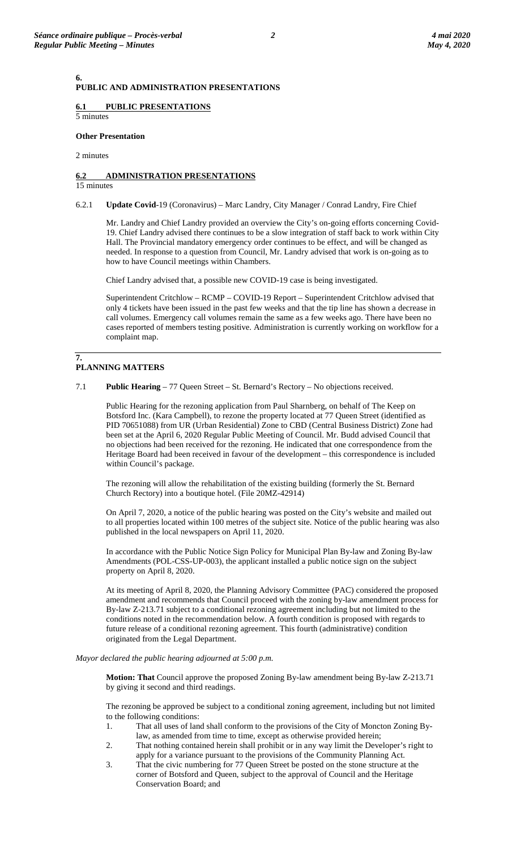## **PUBLIC AND ADMINISTRATION PRESENTATIONS**

## **6.1 PUBLIC PRESENTATIONS**

5 minutes

# **Other Presentation**

## 2 minutes

**6.**

## **6.2 ADMINISTRATION PRESENTATIONS**

## 15 minutes

6.2.1 **Update Covid**-19 (Coronavirus) – Marc Landry, City Manager / Conrad Landry, Fire Chief

Mr. Landry and Chief Landry provided an overview the City's on-going efforts concerning Covid-19. Chief Landry advised there continues to be a slow integration of staff back to work within City Hall. The Provincial mandatory emergency order continues to be effect, and will be changed as needed. In response to a question from Council, Mr. Landry advised that work is on-going as to how to have Council meetings within Chambers.

Chief Landry advised that, a possible new COVID-19 case is being investigated.

Superintendent Critchlow – RCMP – COVID-19 Report – Superintendent Critchlow advised that only 4 tickets have been issued in the past few weeks and that the tip line has shown a decrease in call volumes. Emergency call volumes remain the same as a few weeks ago. There have been no cases reported of members testing positive. Administration is currently working on workflow for a complaint map.

#### **7. PLANNING MATTERS**

7.1 **Public Hearing** – 77 Queen Street – St. Bernard's Rectory – No objections received.

Public Hearing for the rezoning application from Paul Sharnberg, on behalf of The Keep on Botsford Inc. (Kara Campbell), to rezone the property located at 77 Queen Street (identified as PID 70651088) from UR (Urban Residential) Zone to CBD (Central Business District) Zone had been set at the April 6, 2020 Regular Public Meeting of Council. Mr. Budd advised Council that no objections had been received for the rezoning. He indicated that one correspondence from the Heritage Board had been received in favour of the development – this correspondence is included within Council's package.

The rezoning will allow the rehabilitation of the existing building (formerly the St. Bernard Church Rectory) into a boutique hotel. (File 20MZ-42914)

On April 7, 2020, a notice of the public hearing was posted on the City's website and mailed out to all properties located within 100 metres of the subject site. Notice of the public hearing was also published in the local newspapers on April 11, 2020.

In accordance with the Public Notice Sign Policy for Municipal Plan By-law and Zoning By-law Amendments (POL-CSS-UP-003), the applicant installed a public notice sign on the subject property on April 8, 2020.

At its meeting of April 8, 2020, the Planning Advisory Committee (PAC) considered the proposed amendment and recommends that Council proceed with the zoning by-law amendment process for By-law Z-213.71 subject to a conditional rezoning agreement including but not limited to the conditions noted in the recommendation below. A fourth condition is proposed with regards to future release of a conditional rezoning agreement. This fourth (administrative) condition originated from the Legal Department.

## *Mayor declared the public hearing adjourned at 5:00 p.m.*

**Motion: That** Council approve the proposed Zoning By-law amendment being By-law Z-213.71 by giving it second and third readings.

The rezoning be approved be subject to a conditional zoning agreement, including but not limited to the following conditions:

- 1. That all uses of land shall conform to the provisions of the City of Moncton Zoning Bylaw, as amended from time to time, except as otherwise provided herein;
- 2. That nothing contained herein shall prohibit or in any way limit the Developer's right to apply for a variance pursuant to the provisions of the Community Planning Act.
- 3. That the civic numbering for 77 Queen Street be posted on the stone structure at the corner of Botsford and Queen, subject to the approval of Council and the Heritage Conservation Board; and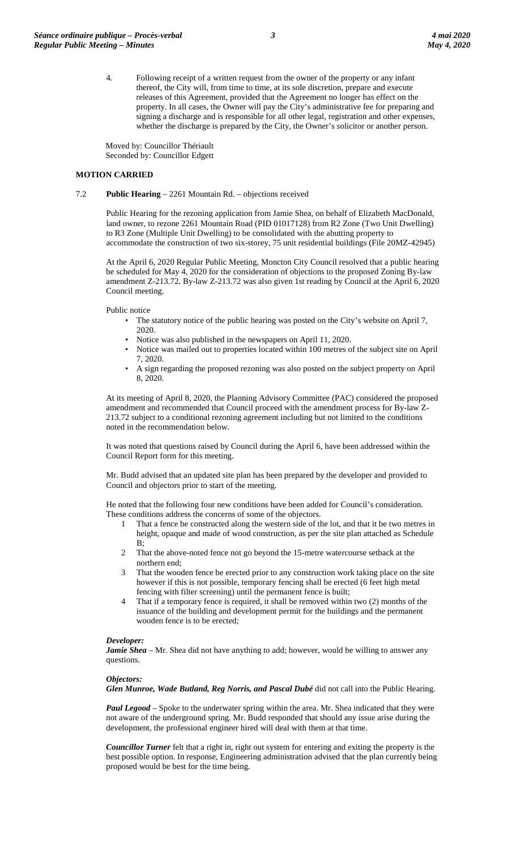4. Following receipt of a written request from the owner of the property or any infant thereof, the City will, from time to time, at its sole discretion, prepare and execute releases of this Agreement, provided that the Agreement no longer has effect on the property. In all cases, the Owner will pay the City's administrative fee for preparing and signing a discharge and is responsible for all other legal, registration and other expenses, whether the discharge is prepared by the City, the Owner's solicitor or another person.

Moved by: Councillor Thériault Seconded by: Councillor Edgett

## **MOTION CARRIED**

### 7.2 **Public Hearing** – 2261 Mountain Rd. – objections received

Public Hearing for the rezoning application from Jamie Shea, on behalf of Elizabeth MacDonald, land owner, to rezone 2261 Mountain Road (PID 01017128) from R2 Zone (Two Unit Dwelling) to R3 Zone (Multiple Unit Dwelling) to be consolidated with the abutting property to accommodate the construction of two six-storey, 75 unit residential buildings (File 20MZ-42945)

At the April 6, 2020 Regular Public Meeting, Moncton City Council resolved that a public hearing be scheduled for May 4, 2020 for the consideration of objections to the proposed Zoning By-law amendment Z-213.72. By-law Z-213.72 was also given 1st reading by Council at the April 6, 2020 Council meeting.

Public notice

- The statutory notice of the public hearing was posted on the City's website on April 7, 2020.
- Notice was also published in the newspapers on April 11, 2020.
- Notice was mailed out to properties located within 100 metres of the subject site on April 7, 2020.
- A sign regarding the proposed rezoning was also posted on the subject property on April 8, 2020.

At its meeting of April 8, 2020, the Planning Advisory Committee (PAC) considered the proposed amendment and recommended that Council proceed with the amendment process for By-law Z-213.72 subject to a conditional rezoning agreement including but not limited to the conditions noted in the recommendation below.

It was noted that questions raised by Council during the April 6, have been addressed within the Council Report form for this meeting.

Mr. Budd advised that an updated site plan has been prepared by the developer and provided to Council and objectors prior to start of the meeting.

He noted that the following four new conditions have been added for Council's consideration. These conditions address the concerns of some of the objectors.

- 1 That a fence be constructed along the western side of the lot, and that it be two metres in height, opaque and made of wood construction, as per the site plan attached as Schedule B;
- 2 That the above-noted fence not go beyond the 15-metre watercourse setback at the northern end;
- 3 That the wooden fence be erected prior to any construction work taking place on the site however if this is not possible, temporary fencing shall be erected (6 feet high metal fencing with filter screening) until the permanent fence is built;
- 4 That if a temporary fence is required, it shall be removed within two (2) months of the issuance of the building and development permit for the buildings and the permanent wooden fence is to be erected;

#### *Developer:*

*Jamie Shea* – Mr. Shea did not have anything to add; however, would be willing to answer any questions.

#### *Objectors:*

*Glen Munroe, Wade Butland, Reg Norris, and Pascal Dubé* did not call into the Public Hearing.

*Paul Legood* – Spoke to the underwater spring within the area. Mr. Shea indicated that they were not aware of the underground spring. Mr. Budd responded that should any issue arise during the development, the professional engineer hired will deal with them at that time.

*Councillor Turner* felt that a right in, right out system for entering and exiting the property is the best possible option. In response, Engineering administration advised that the plan currently being proposed would be best for the time being.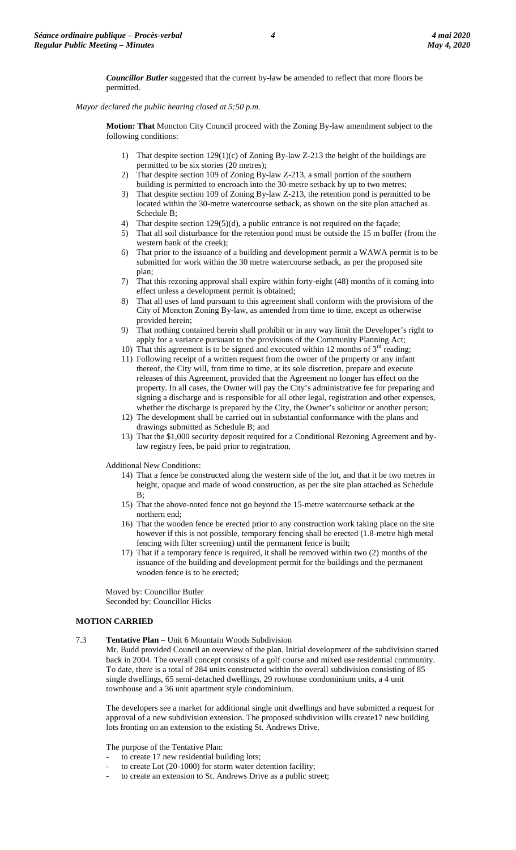*Councillor Butler* suggested that the current by-law be amended to reflect that more floors be permitted.

*Mayor declared the public hearing closed at 5:50 p.m.*

**Motion: That** Moncton City Council proceed with the Zoning By-law amendment subject to the following conditions:

- 1) That despite section 129(1)(c) of Zoning By-law Z-213 the height of the buildings are permitted to be six stories (20 metres);
- 2) That despite section 109 of Zoning By-law Z-213, a small portion of the southern building is permitted to encroach into the 30-metre setback by up to two metres;
- 3) That despite section 109 of Zoning By-law Z-213, the retention pond is permitted to be located within the 30-metre watercourse setback, as shown on the site plan attached as Schedule B;
- 4) That despite section 129(5)(d), a public entrance is not required on the façade;
- 5) That all soil disturbance for the retention pond must be outside the 15 m buffer (from the western bank of the creek);
- 6) That prior to the issuance of a building and development permit a WAWA permit is to be submitted for work within the 30 metre watercourse setback, as per the proposed site plan;
- 7) That this rezoning approval shall expire within forty-eight (48) months of it coming into effect unless a development permit is obtained;
- 8) That all uses of land pursuant to this agreement shall conform with the provisions of the City of Moncton Zoning By-law, as amended from time to time, except as otherwise provided herein;
- 9) That nothing contained herein shall prohibit or in any way limit the Developer's right to apply for a variance pursuant to the provisions of the Community Planning Act;
- 10) That this agreement is to be signed and executed within 12 months of  $3<sup>rd</sup>$  reading;
- 11) Following receipt of a written request from the owner of the property or any infant thereof, the City will, from time to time, at its sole discretion, prepare and execute releases of this Agreement, provided that the Agreement no longer has effect on the property. In all cases, the Owner will pay the City's administrative fee for preparing and signing a discharge and is responsible for all other legal, registration and other expenses, whether the discharge is prepared by the City, the Owner's solicitor or another person;
- 12) The development shall be carried out in substantial conformance with the plans and drawings submitted as Schedule B; and
- 13) That the \$1,000 security deposit required for a Conditional Rezoning Agreement and bylaw registry fees, be paid prior to registration.

Additional New Conditions:

- 14) That a fence be constructed along the western side of the lot, and that it be two metres in height, opaque and made of wood construction, as per the site plan attached as Schedule B;
- 15) That the above-noted fence not go beyond the 15-metre watercourse setback at the northern end;
- 16) That the wooden fence be erected prior to any construction work taking place on the site however if this is not possible, temporary fencing shall be erected (1.8-metre high metal fencing with filter screening) until the permanent fence is built;
- 17) That if a temporary fence is required, it shall be removed within two (2) months of the issuance of the building and development permit for the buildings and the permanent wooden fence is to be erected;

Moved by: Councillor Butler Seconded by: Councillor Hicks

## **MOTION CARRIED**

7.3 **Tentative Plan** – Unit 6 Mountain Woods Subdivision

Mr. Budd provided Council an overview of the plan. Initial development of the subdivision started back in 2004. The overall concept consists of a golf course and mixed use residential community. To date, there is a total of 284 units constructed within the overall subdivision consisting of 85 single dwellings, 65 semi-detached dwellings, 29 rowhouse condominium units, a 4 unit townhouse and a 36 unit apartment style condominium.

The developers see a market for additional single unit dwellings and have submitted a request for approval of a new subdivision extension. The proposed subdivision wills create17 new building lots fronting on an extension to the existing St. Andrews Drive.

The purpose of the Tentative Plan:

- to create 17 new residential building lots;
- to create Lot (20-1000) for storm water detention facility;
- to create an extension to St. Andrews Drive as a public street;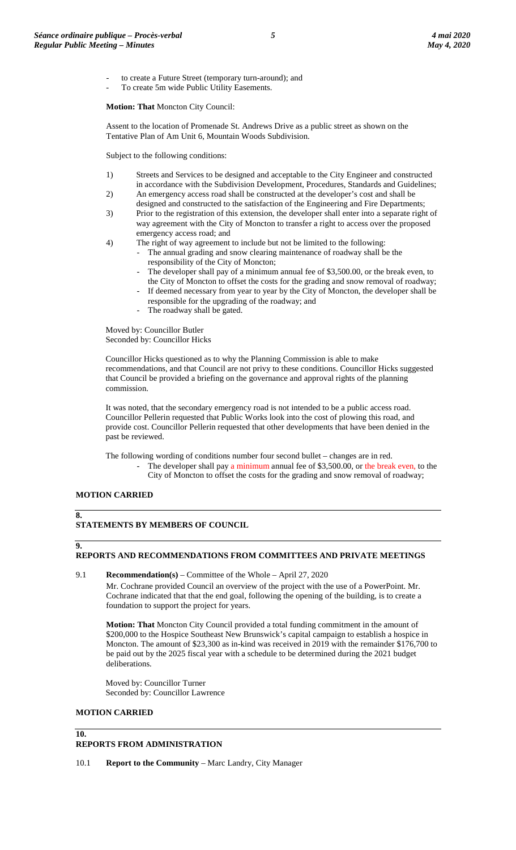- to create a Future Street (temporary turn-around); and
- To create 5m wide Public Utility Easements.

**Motion: That** Moncton City Council:

Assent to the location of Promenade St. Andrews Drive as a public street as shown on the Tentative Plan of Am Unit 6, Mountain Woods Subdivision.

Subject to the following conditions:

- 1) Streets and Services to be designed and acceptable to the City Engineer and constructed in accordance with the Subdivision Development, Procedures, Standards and Guidelines;
- 2) An emergency access road shall be constructed at the developer's cost and shall be designed and constructed to the satisfaction of the Engineering and Fire Departments;
- 3) Prior to the registration of this extension, the developer shall enter into a separate right of way agreement with the City of Moncton to transfer a right to access over the proposed emergency access road; and
- 4) The right of way agreement to include but not be limited to the following:
	- The annual grading and snow clearing maintenance of roadway shall be the responsibility of the City of Moncton;
		- The developer shall pay of a minimum annual fee of \$3,500.00, or the break even, to the City of Moncton to offset the costs for the grading and snow removal of roadway;
		- If deemed necessary from year to year by the City of Moncton, the developer shall be responsible for the upgrading of the roadway; and
		- The roadway shall be gated.

Moved by: Councillor Butler Seconded by: Councillor Hicks

Councillor Hicks questioned as to why the Planning Commission is able to make recommendations, and that Council are not privy to these conditions. Councillor Hicks suggested that Council be provided a briefing on the governance and approval rights of the planning commission.

It was noted, that the secondary emergency road is not intended to be a public access road. Councillor Pellerin requested that Public Works look into the cost of plowing this road, and provide cost. Councillor Pellerin requested that other developments that have been denied in the past be reviewed.

The following wording of conditions number four second bullet – changes are in red. The developer shall pay a minimum annual fee of \$3,500.00, or the break even, to the City of Moncton to offset the costs for the grading and snow removal of roadway;

## **MOTION CARRIED**

## **8.**

## **STATEMENTS BY MEMBERS OF COUNCIL**

## **9.**

## **REPORTS AND RECOMMENDATIONS FROM COMMITTEES AND PRIVATE MEETINGS**

9.1 **Recommendation(s)** – Committee of the Whole – April 27, 2020

Mr. Cochrane provided Council an overview of the project with the use of a PowerPoint. Mr. Cochrane indicated that that the end goal, following the opening of the building, is to create a foundation to support the project for years.

**Motion: That** Moncton City Council provided a total funding commitment in the amount of \$200,000 to the Hospice Southeast New Brunswick's capital campaign to establish a hospice in Moncton. The amount of \$23,300 as in-kind was received in 2019 with the remainder \$176,700 to be paid out by the 2025 fiscal year with a schedule to be determined during the 2021 budget deliberations.

Moved by: Councillor Turner Seconded by: Councillor Lawrence

## **MOTION CARRIED**

**10.**

## **REPORTS FROM ADMINISTRATION**

10.1 **Report to the Community** – Marc Landry, City Manager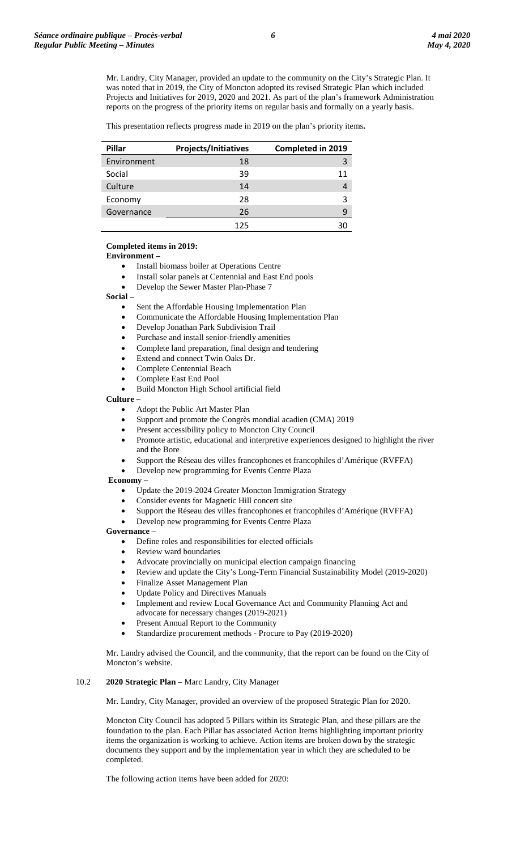Mr. Landry, City Manager, provided an update to the community on the City's Strategic Plan. It was noted that in 2019, the City of Moncton adopted its revised Strategic Plan which included Projects and Initiatives for 2019, 2020 and 2021. As part of the plan's framework Administration reports on the progress of the priority items on regular basis and formally on a yearly basis.

This presentation reflects progress made in 2019 on the plan's priority items**.**

| Pillar      | <b>Projects/Initiatives</b> | Completed in 2019 |
|-------------|-----------------------------|-------------------|
| Environment | 18                          | 3                 |
| Social      | 39                          | 11                |
| Culture     | 14                          |                   |
| Economy     | 28                          | 3                 |
| Governance  | 26                          | q                 |
|             | 125                         |                   |

#### **Completed items in 2019:**

**Environment –**

- Install biomass boiler at Operations Centre
- Install solar panels at Centennial and East End pools
- Develop the Sewer Master Plan-Phase 7

**Social –**

- Sent the Affordable Housing Implementation Plan
- Communicate the Affordable Housing Implementation Plan
- Develop Jonathan Park Subdivision Trail
- Purchase and install senior-friendly amenities
- Complete land preparation, final design and tendering
- Extend and connect Twin Oaks Dr.
- Complete Centennial Beach
- Complete East End Pool
- Build Moncton High School artificial field

**Culture –**

- Adopt the Public Art Master Plan
- Support and promote the Congrès mondial acadien (CMA) 2019
- Present accessibility policy to Moncton City Council
- Promote artistic, educational and interpretive experiences designed to highlight the river and the Bore
- Support the Réseau des villes francophones et francophiles d'Amérique (RVFFA)
- Develop new programming for Events Centre Plaza

**Economy –**

- Update the 2019-2024 Greater Moncton Immigration Strategy
- Consider events for Magnetic Hill concert site
- Support the Réseau des villes francophones et francophiles d'Amérique (RVFFA)
- Develop new programming for Events Centre Plaza

#### **Governance** –

- Define roles and responsibilities for elected officials
- Review ward boundaries
- Advocate provincially on municipal election campaign financing
- Review and update the City's Long-Term Financial Sustainability Model (2019-2020)
- Finalize Asset Management Plan
- Update Policy and Directives Manuals
- Implement and review Local Governance Act and Community Planning Act and advocate for necessary changes (2019-2021)
- Present Annual Report to the Community
- Standardize procurement methods Procure to Pay (2019-2020)

Mr. Landry advised the Council, and the community, that the report can be found on the City of Moncton's website.

## 10.2 **2020 Strategic Plan** – Marc Landry, City Manager

Mr. Landry, City Manager, provided an overview of the proposed Strategic Plan for 2020.

Moncton City Council has adopted 5 Pillars within its Strategic Plan, and these pillars are the foundation to the plan. Each Pillar has associated Action Items highlighting important priority items the organization is working to achieve. Action items are broken down by the strategic documents they support and by the implementation year in which they are scheduled to be completed.

The following action items have been added for 2020: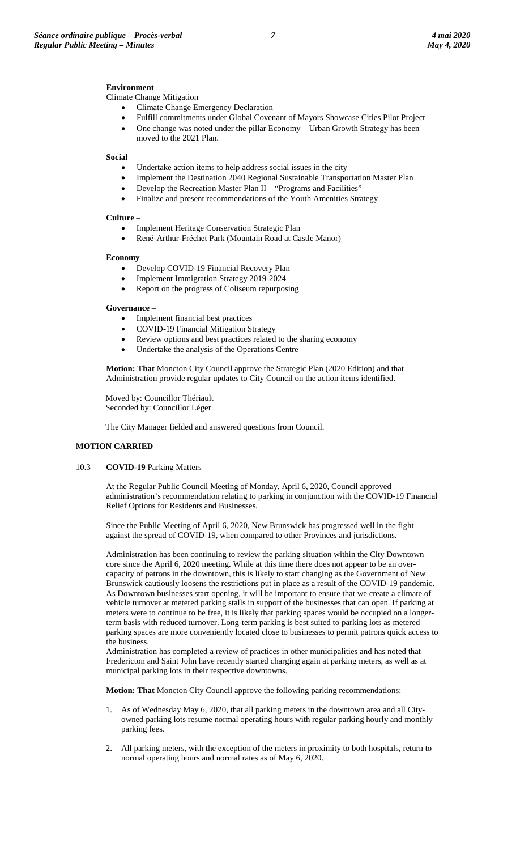## **Environment** –

Climate Change Mitigation

- Climate Change Emergency Declaration
- Fulfill commitments under Global Covenant of Mayors Showcase Cities Pilot Project
- One change was noted under the pillar Economy Urban Growth Strategy has been moved to the 2021 Plan.

#### **Social** –

- Undertake action items to help address social issues in the city
- Implement the Destination 2040 Regional Sustainable Transportation Master Plan
- Develop the Recreation Master Plan II "Programs and Facilities"
- Finalize and present recommendations of the Youth Amenities Strategy

## **Culture** –

- Implement Heritage Conservation Strategic Plan
- René-Arthur-Fréchet Park (Mountain Road at Castle Manor)

#### **Economy** –

- Develop COVID-19 Financial Recovery Plan
- Implement Immigration Strategy 2019-2024
- Report on the progress of Coliseum repurposing

### **Governance** –

- Implement financial best practices
- COVID-19 Financial Mitigation Strategy
- Review options and best practices related to the sharing economy
- Undertake the analysis of the Operations Centre

**Motion: That** Moncton City Council approve the Strategic Plan (2020 Edition) and that Administration provide regular updates to City Council on the action items identified.

Moved by: Councillor Thériault Seconded by: Councillor Léger

The City Manager fielded and answered questions from Council.

#### **MOTION CARRIED**

#### 10.3 **COVID-19** Parking Matters

At the Regular Public Council Meeting of Monday, April 6, 2020, Council approved administration's recommendation relating to parking in conjunction with the COVID-19 Financial Relief Options for Residents and Businesses.

Since the Public Meeting of April 6, 2020, New Brunswick has progressed well in the fight against the spread of COVID-19, when compared to other Provinces and jurisdictions.

Administration has been continuing to review the parking situation within the City Downtown core since the April 6, 2020 meeting. While at this time there does not appear to be an overcapacity of patrons in the downtown, this is likely to start changing as the Government of New Brunswick cautiously loosens the restrictions put in place as a result of the COVID-19 pandemic. As Downtown businesses start opening, it will be important to ensure that we create a climate of vehicle turnover at metered parking stalls in support of the businesses that can open. If parking at meters were to continue to be free, it is likely that parking spaces would be occupied on a longerterm basis with reduced turnover. Long-term parking is best suited to parking lots as metered parking spaces are more conveniently located close to businesses to permit patrons quick access to the business.

Administration has completed a review of practices in other municipalities and has noted that Fredericton and Saint John have recently started charging again at parking meters, as well as at municipal parking lots in their respective downtowns.

**Motion: That** Moncton City Council approve the following parking recommendations:

- 1. As of Wednesday May 6, 2020, that all parking meters in the downtown area and all Cityowned parking lots resume normal operating hours with regular parking hourly and monthly parking fees.
- 2. All parking meters, with the exception of the meters in proximity to both hospitals, return to normal operating hours and normal rates as of May 6, 2020.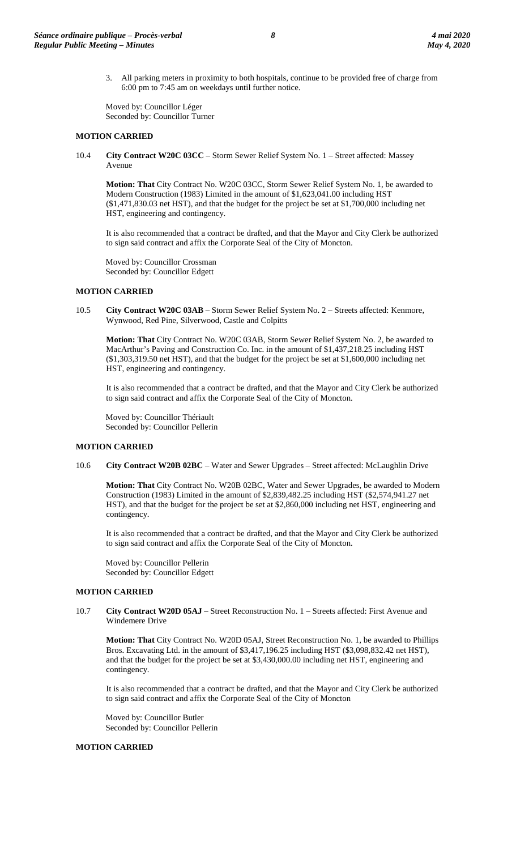3. All parking meters in proximity to both hospitals, continue to be provided free of charge from 6:00 pm to 7:45 am on weekdays until further notice.

Moved by: Councillor Léger Seconded by: Councillor Turner

## **MOTION CARRIED**

10.4 **City Contract W20C 03CC** – Storm Sewer Relief System No. 1 – Street affected: Massey Avenue

**Motion: That** City Contract No. W20C 03CC, Storm Sewer Relief System No. 1, be awarded to Modern Construction (1983) Limited in the amount of \$1,623,041.00 including HST (\$1,471,830.03 net HST), and that the budget for the project be set at \$1,700,000 including net HST, engineering and contingency.

It is also recommended that a contract be drafted, and that the Mayor and City Clerk be authorized to sign said contract and affix the Corporate Seal of the City of Moncton.

Moved by: Councillor Crossman Seconded by: Councillor Edgett

### **MOTION CARRIED**

10.5 **City Contract W20C 03AB** – Storm Sewer Relief System No. 2 – Streets affected: Kenmore, Wynwood, Red Pine, Silverwood, Castle and Colpitts

**Motion: That** City Contract No. W20C 03AB, Storm Sewer Relief System No. 2, be awarded to MacArthur's Paving and Construction Co. Inc. in the amount of \$1,437,218.25 including HST (\$1,303,319.50 net HST), and that the budget for the project be set at \$1,600,000 including net HST, engineering and contingency.

It is also recommended that a contract be drafted, and that the Mayor and City Clerk be authorized to sign said contract and affix the Corporate Seal of the City of Moncton.

Moved by: Councillor Thériault Seconded by: Councillor Pellerin

## **MOTION CARRIED**

10.6 **City Contract W20B 02BC** – Water and Sewer Upgrades – Street affected: McLaughlin Drive

**Motion: That** City Contract No. W20B 02BC, Water and Sewer Upgrades, be awarded to Modern Construction (1983) Limited in the amount of \$2,839,482.25 including HST (\$2,574,941.27 net HST), and that the budget for the project be set at \$2,860,000 including net HST, engineering and contingency.

It is also recommended that a contract be drafted, and that the Mayor and City Clerk be authorized to sign said contract and affix the Corporate Seal of the City of Moncton.

Moved by: Councillor Pellerin Seconded by: Councillor Edgett

## **MOTION CARRIED**

10.7 **City Contract W20D 05AJ** – Street Reconstruction No. 1 – Streets affected: First Avenue and Windemere Drive

**Motion: That** City Contract No. W20D 05AJ, Street Reconstruction No. 1, be awarded to Phillips Bros. Excavating Ltd. in the amount of \$3,417,196.25 including HST (\$3,098,832.42 net HST), and that the budget for the project be set at \$3,430,000.00 including net HST, engineering and contingency.

It is also recommended that a contract be drafted, and that the Mayor and City Clerk be authorized to sign said contract and affix the Corporate Seal of the City of Moncton

Moved by: Councillor Butler Seconded by: Councillor Pellerin

## **MOTION CARRIED**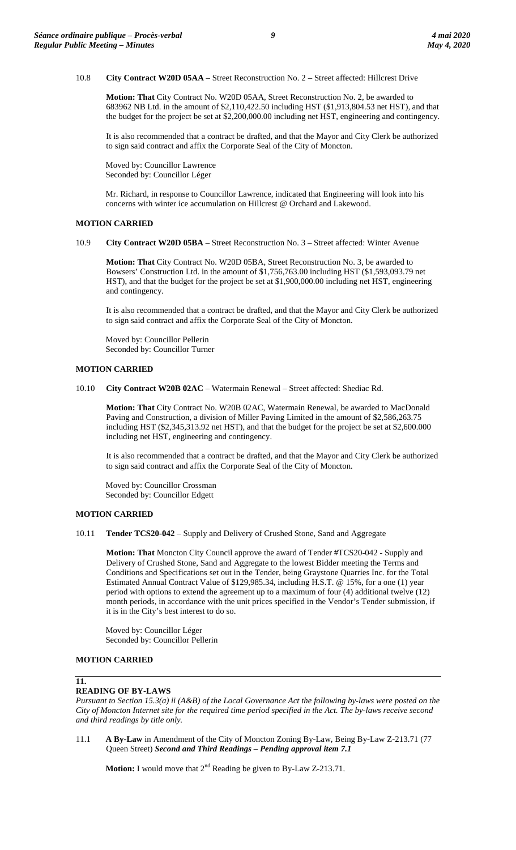10.8 **City Contract W20D 05AA** – Street Reconstruction No. 2 – Street affected: Hillcrest Drive

**Motion: That** City Contract No. W20D 05AA, Street Reconstruction No. 2, be awarded to 683962 NB Ltd. in the amount of \$2,110,422.50 including HST (\$1,913,804.53 net HST), and that the budget for the project be set at \$2,200,000.00 including net HST, engineering and contingency.

It is also recommended that a contract be drafted, and that the Mayor and City Clerk be authorized to sign said contract and affix the Corporate Seal of the City of Moncton.

Moved by: Councillor Lawrence Seconded by: Councillor Léger

Mr. Richard, in response to Councillor Lawrence, indicated that Engineering will look into his concerns with winter ice accumulation on Hillcrest @ Orchard and Lakewood.

#### **MOTION CARRIED**

10.9 **City Contract W20D 05BA** – Street Reconstruction No. 3 – Street affected: Winter Avenue

**Motion: That** City Contract No. W20D 05BA, Street Reconstruction No. 3, be awarded to Bowsers' Construction Ltd. in the amount of \$1,756,763.00 including HST (\$1,593,093.79 net HST), and that the budget for the project be set at \$1,900,000.00 including net HST, engineering and contingency.

It is also recommended that a contract be drafted, and that the Mayor and City Clerk be authorized to sign said contract and affix the Corporate Seal of the City of Moncton.

Moved by: Councillor Pellerin Seconded by: Councillor Turner

### **MOTION CARRIED**

10.10 **City Contract W20B 02AC** – Watermain Renewal – Street affected: Shediac Rd.

**Motion: That** City Contract No. W20B 02AC, Watermain Renewal, be awarded to MacDonald Paving and Construction, a division of Miller Paving Limited in the amount of \$2,586,263.75 including HST (\$2,345,313.92 net HST), and that the budget for the project be set at \$2,600.000 including net HST, engineering and contingency.

It is also recommended that a contract be drafted, and that the Mayor and City Clerk be authorized to sign said contract and affix the Corporate Seal of the City of Moncton.

Moved by: Councillor Crossman Seconded by: Councillor Edgett

#### **MOTION CARRIED**

10.11 **Tender TCS20-042** – Supply and Delivery of Crushed Stone, Sand and Aggregate

**Motion: That** Moncton City Council approve the award of Tender #TCS20-042 - Supply and Delivery of Crushed Stone, Sand and Aggregate to the lowest Bidder meeting the Terms and Conditions and Specifications set out in the Tender, being Graystone Quarries Inc. for the Total Estimated Annual Contract Value of \$129,985.34, including H.S.T. @ 15%, for a one (1) year period with options to extend the agreement up to a maximum of four (4) additional twelve (12) month periods, in accordance with the unit prices specified in the Vendor's Tender submission, if it is in the City's best interest to do so.

Moved by: Councillor Léger Seconded by: Councillor Pellerin

### **MOTION CARRIED**

#### **11.**

### **READING OF BY-LAWS**

*Pursuant to Section 15.3(a) ii (A&B) of the Local Governance Act the following by-laws were posted on the City of Moncton Internet site for the required time period specified in the Act. The by-laws receive second and third readings by title only.*

11.1 **A By-Law** in Amendment of the City of Moncton Zoning By-Law, Being By-Law Z-213.71 (77 Queen Street) *Second and Third Readings* – *Pending approval item 7.1*

**Motion:** I would move that 2<sup>nd</sup> Reading be given to By-Law Z-213.71.